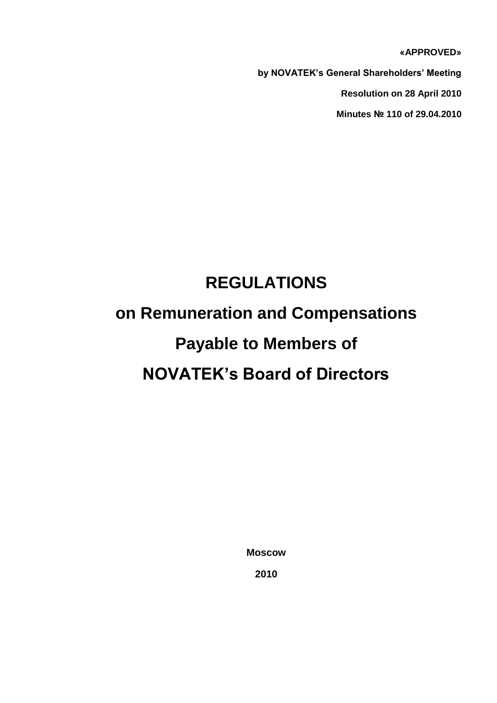**«APPROVED»**

**by NOVATEK's General Shareholders' Meeting** 

**Resolution on 28 April 2010**

**Minutes № 110 of 29.04.2010**

# **REGULATIONS on Remuneration and Compensations**

### **Payable to Members of**

## **NOVATEK's Board of Directors**

**Moscow**

**2010**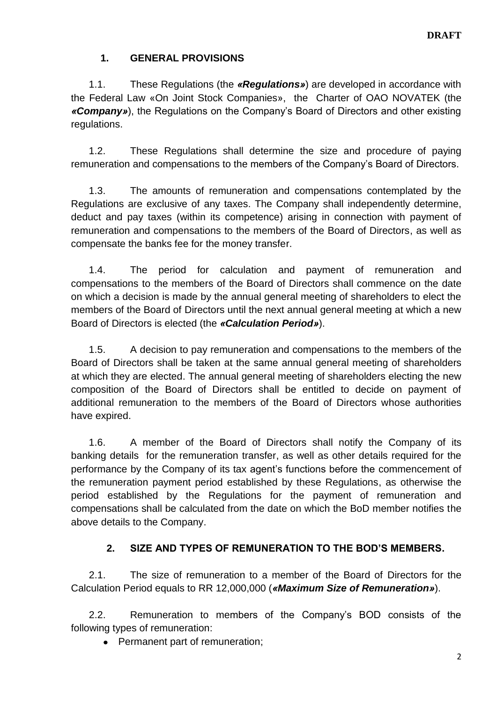#### **1. GENERAL PROVISIONS**

1.1. These Regulations (the *«Regulations»*) are developed in accordance with the Federal Law «On Joint Stock Companies», the Charter of OAO NOVATEK (the *«Company»*), the Regulations on the Company's Board of Directors and other existing regulations.

1.2. These Regulations shall determine the size and procedure of paying remuneration and compensations to the members of the Company's Board of Directors.

1.3. The amounts of remuneration and compensations contemplated by the Regulations are exclusive of any taxes. The Company shall independently determine, deduct and pay taxes (within its competence) arising in connection with payment of remuneration and compensations to the members of the Board of Directors, as well as compensate the banks fee for the money transfer.

1.4. The period for calculation and payment of remuneration and compensations to the members of the Board of Directors shall commence on the date on which a decision is made by the annual general meeting of shareholders to elect the members of the Board of Directors until the next annual general meeting at which a new Board of Directors is elected (the *«Calculation Period»*).

1.5. A decision to pay remuneration and compensations to the members of the Board of Directors shall be taken at the same annual general meeting of shareholders at which they are elected. The annual general meeting of shareholders electing the new composition of the Board of Directors shall be entitled to decide on payment of additional remuneration to the members of the Board of Directors whose authorities have expired.

1.6. A member of the Board of Directors shall notify the Company of its banking details for the remuneration transfer, as well as other details required for the performance by the Company of its tax agent's functions before the commencement of the remuneration payment period established by these Regulations, as otherwise the period established by the Regulations for the payment of remuneration and compensations shall be calculated from the date on which the BoD member notifies the above details to the Company.

#### **2. SIZE AND TYPES OF REMUNERATION TO THE BOD'S MEMBERS.**

2.1. The size of remuneration to a member of the Board of Directors for the Calculation Period equals to RR 12,000,000 (*«Maximum Size of Remuneration»*).

2.2. Remuneration to members of the Company's BOD consists of the following types of remuneration:

• Permanent part of remuneration;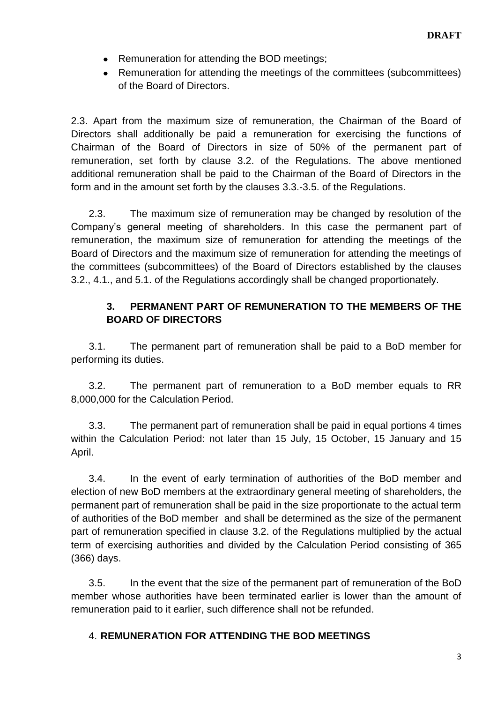- Remuneration for attending the BOD meetings;
- Remuneration for attending the meetings of the committees (subcommittees) of the Board of Directors.

2.3. Apart from the maximum size of remuneration, the Chairman of the Board of Directors shall additionally be paid a remuneration for exercising the functions of Chairman of the Board of Directors in size of 50% of the permanent part of remuneration, set forth by clause 3.2. of the Regulations. The above mentioned additional remuneration shall be paid to the Chairman of the Board of Directors in the form and in the amount set forth by the clauses 3.3.-3.5. of the Regulations.

2.3. The maximum size of remuneration may be changed by resolution of the Company's general meeting of shareholders. In this case the permanent part of remuneration, the maximum size of remuneration for attending the meetings of the Board of Directors and the maximum size of remuneration for attending the meetings of the committees (subcommittees) of the Board of Directors established by the clauses 3.2., 4.1., and 5.1. of the Regulations accordingly shall be changed proportionately.

#### **3. PERMANENT PART OF REMUNERATION TO THE MEMBERS OF THE BOARD OF DIRECTORS**

3.1. The permanent part of remuneration shall be paid to a BoD member for performing its duties.

3.2. The permanent part of remuneration to a BoD member equals to RR 8,000,000 for the Calculation Period.

3.3. The permanent part of remuneration shall be paid in equal portions 4 times within the Calculation Period: not later than 15 July, 15 October, 15 January and 15 April.

3.4. In the event of early termination of authorities of the BoD member and election of new BoD members at the extraordinary general meeting of shareholders, the permanent part of remuneration shall be paid in the size proportionate to the actual term of authorities of the BoD member and shall be determined as the size of the permanent part of remuneration specified in clause 3.2. of the Regulations multiplied by the actual term of exercising authorities and divided by the Calculation Period consisting of 365 (366) days.

3.5. In the event that the size of the permanent part of remuneration of the BoD member whose authorities have been terminated earlier is lower than the amount of remuneration paid to it earlier, such difference shall not be refunded.

#### 4. **REMUNERATION FOR ATTENDING THE BOD MEETINGS**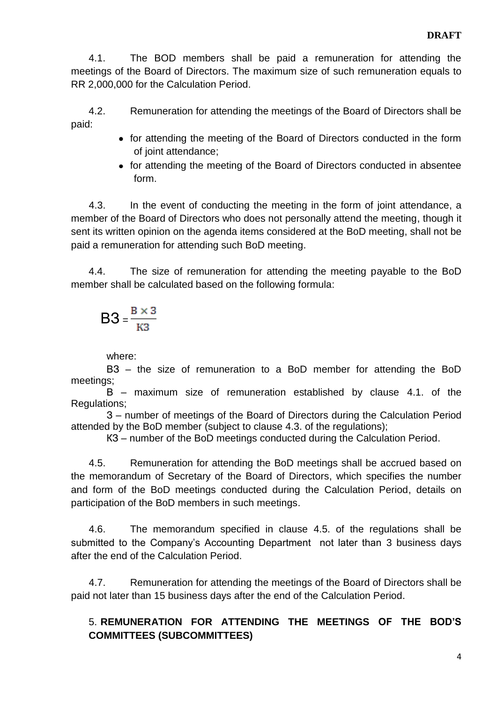4.1. The BOD members shall be paid a remuneration for attending the meetings of the Board of Directors. The maximum size of such remuneration equals to RR 2,000,000 for the Calculation Period.

4.2. Remuneration for attending the meetings of the Board of Directors shall be paid:

- for attending the meeting of the Board of Directors conducted in the form of joint attendance;
- for attending the meeting of the Board of Directors conducted in absentee form.

4.3. In the event of conducting the meeting in the form of joint attendance, a member of the Board of Directors who does not personally attend the meeting, though it sent its written opinion on the agenda items considered at the BoD meeting, shall not be paid a remuneration for attending such BoD meeting.

4.4. The size of remuneration for attending the meeting payable to the BoD member shall be calculated based on the following formula:

$$
B3 = \frac{B \times 3}{K3}
$$

where:

ВЗ – the size of remuneration to a BoD member for attending the BoD meetings;

В – maximum size of remuneration established by clause 4.1. of the Regulations;

З – number of meetings of the Board of Directors during the Calculation Period attended by the BoD member (subject to clause 4.3. of the regulations);

КЗ – number of the BoD meetings conducted during the Calculation Period.

4.5. Remuneration for attending the BoD meetings shall be accrued based on the memorandum of Secretary of the Board of Directors, which specifies the number and form of the BoD meetings conducted during the Calculation Period, details on participation of the BoD members in such meetings.

4.6. The memorandum specified in clause 4.5. of the regulations shall be submitted to the Company's Accounting Department not later than 3 business days after the end of the Calculation Period.

4.7. Remuneration for attending the meetings of the Board of Directors shall be paid not later than 15 business days after the end of the Calculation Period.

#### 5. **REMUNERATION FOR ATTENDING THE MEETINGS OF THE BOD'S COMMITTEES (SUBCOMMITTEES)**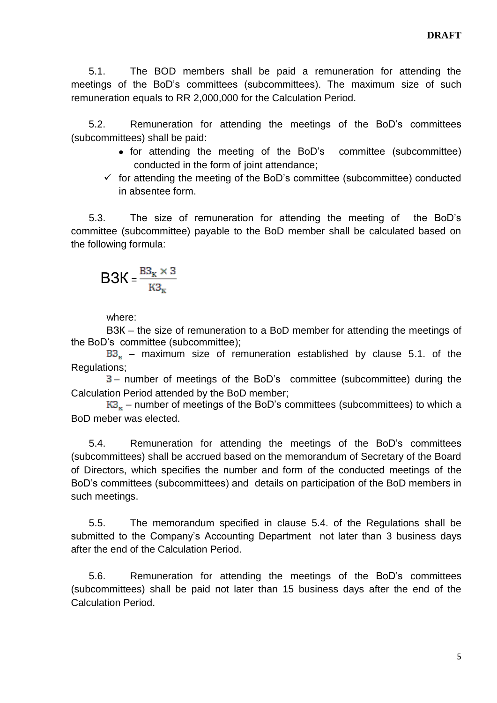5.1. The BOD members shall be paid a remuneration for attending the meetings of the BoD's committees (subcommittees). The maximum size of such remuneration equals to RR 2,000,000 for the Calculation Period.

5.2. Remuneration for attending the meetings of the BoD's committees (subcommittees) shall be paid:

- for attending the meeting of the BoD's committee (subcommittee) conducted in the form of joint attendance;
- $\checkmark$  for attending the meeting of the BoD's committee (subcommittee) conducted in absentee form.

5.3. The size of remuneration for attending the meeting of the BoD's committee (subcommittee) payable to the BoD member shall be calculated based on the following formula:

$$
B3K=\frac{{\rm B3}_{\scriptscriptstyle{K}}\times 3}{{\rm K3}_{\scriptscriptstyle{K}}}
$$

where:

ВЗК – the size of remuneration to a BoD member for attending the meetings of the BoD's committee (subcommittee);

 $B3<sub>x</sub>$  – maximum size of remuneration established by clause 5.1. of the Regulations;

– number of meetings of the BoD's committee (subcommittee) during the Calculation Period attended by the BoD member;

 $K3<sub>k</sub>$  – number of meetings of the BoD's committees (subcommittees) to which a BoD meber was elected.

5.4. Remuneration for attending the meetings of the BoD's committees (subcommittees) shall be accrued based on the memorandum of Secretary of the Board of Directors, which specifies the number and form of the conducted meetings of the BoD's committees (subcommittees) and details on participation of the BoD members in such meetings.

5.5. The memorandum specified in clause 5.4. of the Regulations shall be submitted to the Company's Accounting Department not later than 3 business days after the end of the Calculation Period.

5.6. Remuneration for attending the meetings of the BoD's committees (subcommittees) shall be paid not later than 15 business days after the end of the Calculation Period.